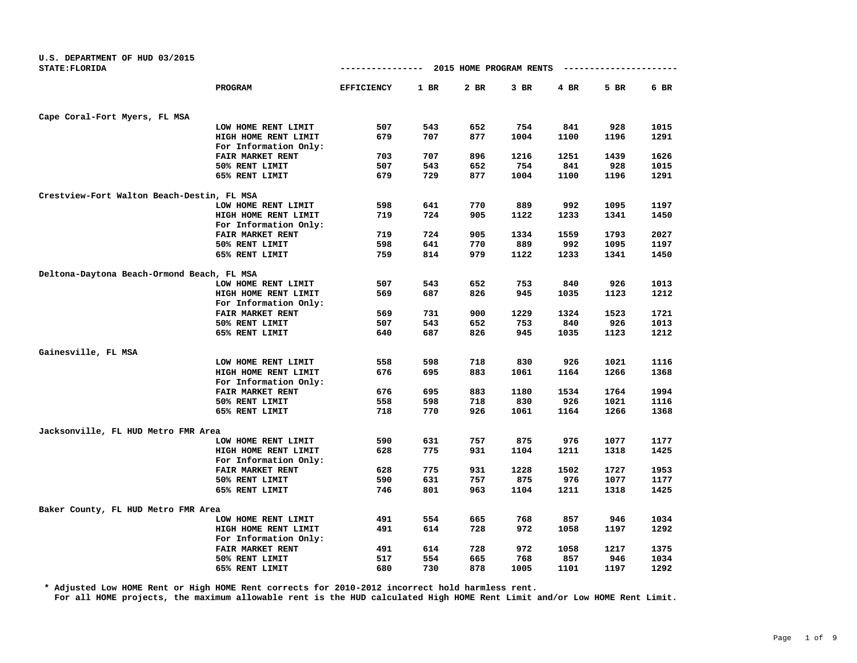| U.S. DEPARTMENT OF HUD 03/2015             |                         |                   |        |                         |        |        |      |      |
|--------------------------------------------|-------------------------|-------------------|--------|-------------------------|--------|--------|------|------|
| <b>STATE: FLORIDA</b>                      |                         | ------------      |        | 2015 HOME PROGRAM RENTS |        |        |      |      |
|                                            | PROGRAM                 | <b>EFFICIENCY</b> | $1$ BR | 2 BR                    | $3$ BR | $4$ BR | 5 BR | 6 BR |
| Cape Coral-Fort Myers, FL MSA              |                         |                   |        |                         |        |        |      |      |
|                                            | LOW HOME RENT LIMIT     | 507               | 543    | 652                     | 754    | 841    | 928  | 1015 |
|                                            | HIGH HOME RENT LIMIT    | 679               | 707    | 877                     | 1004   | 1100   | 1196 | 1291 |
|                                            | For Information Only:   |                   |        |                         |        |        |      |      |
|                                            | FAIR MARKET RENT        | 703               | 707    | 896                     | 1216   | 1251   | 1439 | 1626 |
|                                            | 50% RENT LIMIT          | 507               | 543    | 652                     | 754    | 841    | 928  | 1015 |
|                                            | 65% RENT LIMIT          | 679               | 729    | 877                     | 1004   | 1100   | 1196 | 1291 |
| Crestview-Fort Walton Beach-Destin, FL MSA |                         |                   |        |                         |        |        |      |      |
|                                            | LOW HOME RENT LIMIT     | 598               | 641    | 770                     | 889    | 992    | 1095 | 1197 |
|                                            | HIGH HOME RENT LIMIT    | 719               | 724    | 905                     | 1122   | 1233   | 1341 | 1450 |
|                                            | For Information Only:   |                   |        |                         |        |        |      |      |
|                                            | FAIR MARKET RENT        | 719               | 724    | 905                     | 1334   | 1559   | 1793 | 2027 |
|                                            | 50% RENT LIMIT          | 598               | 641    | 770                     | 889    | 992    | 1095 | 1197 |
|                                            | 65% RENT LIMIT          | 759               | 814    | 979                     | 1122   | 1233   | 1341 | 1450 |
| Deltona-Daytona Beach-Ormond Beach, FL MSA |                         |                   |        |                         |        |        |      |      |
|                                            | LOW HOME RENT LIMIT     | 507               | 543    | 652                     | 753    | 840    | 926  | 1013 |
|                                            | HIGH HOME RENT LIMIT    | 569               | 687    | 826                     | 945    | 1035   | 1123 | 1212 |
|                                            | For Information Only:   |                   |        |                         |        |        |      |      |
|                                            | FAIR MARKET RENT        | 569               | 731    | 900                     | 1229   | 1324   | 1523 | 1721 |
|                                            | 50% RENT LIMIT          | 507               | 543    | 652                     | 753    | 840    | 926  | 1013 |
|                                            | 65% RENT LIMIT          | 640               | 687    | 826                     | 945    | 1035   | 1123 | 1212 |
| Gainesville, FL MSA                        |                         |                   |        |                         |        |        |      |      |
|                                            | LOW HOME RENT LIMIT     | 558               | 598    | 718                     | 830    | 926    | 1021 | 1116 |
|                                            | HIGH HOME RENT LIMIT    | 676               | 695    | 883                     | 1061   | 1164   | 1266 | 1368 |
|                                            | For Information Only:   |                   |        |                         |        |        |      |      |
|                                            | FAIR MARKET RENT        | 676               | 695    | 883                     | 1180   | 1534   | 1764 | 1994 |
|                                            | 50% RENT LIMIT          | 558               | 598    | 718                     | 830    | 926    | 1021 | 1116 |
|                                            | 65% RENT LIMIT          | 718               | 770    | 926                     | 1061   | 1164   | 1266 | 1368 |
| Jacksonville, FL HUD Metro FMR Area        |                         |                   |        |                         |        |        |      |      |
|                                            | LOW HOME RENT LIMIT     | 590               | 631    | 757                     | 875    | 976    | 1077 | 1177 |
|                                            | HIGH HOME RENT LIMIT    | 628               | 775    | 931                     | 1104   | 1211   | 1318 | 1425 |
|                                            | For Information Only:   |                   |        |                         |        |        |      |      |
|                                            | <b>FAIR MARKET RENT</b> | 628               | 775    | 931                     | 1228   | 1502   | 1727 | 1953 |
|                                            | 50% RENT LIMIT          | 590               | 631    | 757                     | 875    | 976    | 1077 | 1177 |
|                                            | 65% RENT LIMIT          | 746               | 801    | 963                     | 1104   | 1211   | 1318 | 1425 |
| Baker County, FL HUD Metro FMR Area        |                         |                   |        |                         |        |        |      |      |
|                                            | LOW HOME RENT LIMIT     | 491               | 554    | 665                     | 768    | 857    | 946  | 1034 |
|                                            | HIGH HOME RENT LIMIT    | 491               | 614    | 728                     | 972    | 1058   | 1197 | 1292 |
|                                            | For Information Only:   |                   |        |                         |        |        |      |      |
|                                            | FAIR MARKET RENT        | 491               | 614    | 728                     | 972    | 1058   | 1217 | 1375 |
|                                            | 50% RENT LIMIT          | 517               | 554    | 665                     | 768    | 857    | 946  | 1034 |
|                                            | 65% RENT LIMIT          | 680               | 730    | 878                     | 1005   | 1101   | 1197 | 1292 |

**\* Adjusted Low HOME Rent or High HOME Rent corrects for 2010-2012 incorrect hold harmless rent.**

**For all HOME projects, the maximum allowable rent is the HUD calculated High HOME Rent Limit and/or Low HOME Rent Limit.**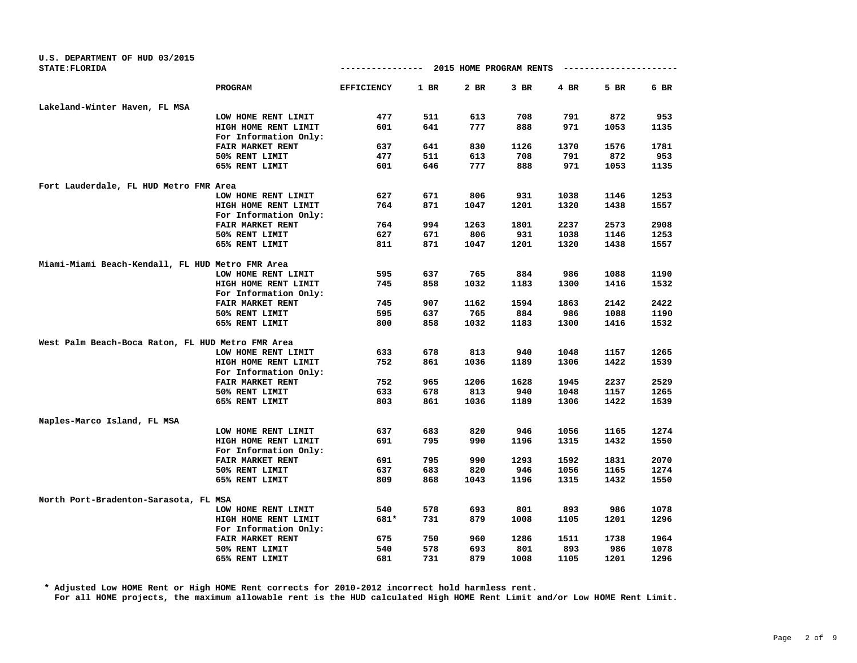| U.S. DEPARTMENT OF HUD 03/2015<br>STATE: FLORIDA  |                       | ----------------  |        | 2015 HOME PROGRAM RENTS |      |      |      |      |
|---------------------------------------------------|-----------------------|-------------------|--------|-------------------------|------|------|------|------|
|                                                   | PROGRAM               | <b>EFFICIENCY</b> | $1$ BR | 2 BR                    | 3 BR | 4 BR | 5 BR | 6 BR |
| Lakeland-Winter Haven, FL MSA                     |                       |                   |        |                         |      |      |      |      |
|                                                   | LOW HOME RENT LIMIT   | 477               | 511    | 613                     | 708  | 791  | 872  | 953  |
|                                                   | HIGH HOME RENT LIMIT  | 601               | 641    | 777                     | 888  | 971  | 1053 | 1135 |
|                                                   | For Information Only: |                   |        |                         |      |      |      |      |
|                                                   | FAIR MARKET RENT      | 637               | 641    | 830                     | 1126 | 1370 | 1576 | 1781 |
|                                                   | 50% RENT LIMIT        | 477               | 511    | 613                     | 708  | 791  | 872  | 953  |
|                                                   | 65% RENT LIMIT        | 601               | 646    | 777                     | 888  | 971  | 1053 | 1135 |
| Fort Lauderdale, FL HUD Metro FMR Area            |                       |                   |        |                         |      |      |      |      |
|                                                   | LOW HOME RENT LIMIT   | 627               | 671    | 806                     | 931  | 1038 | 1146 | 1253 |
|                                                   | HIGH HOME RENT LIMIT  | 764               | 871    | 1047                    | 1201 | 1320 | 1438 | 1557 |
|                                                   | For Information Only: |                   |        |                         |      |      |      |      |
|                                                   | FAIR MARKET RENT      | 764               | 994    | 1263                    | 1801 | 2237 | 2573 | 2908 |
|                                                   | 50% RENT LIMIT        | 627               | 671    | 806                     | 931  | 1038 | 1146 | 1253 |
|                                                   | 65% RENT LIMIT        | 811               | 871    | 1047                    | 1201 | 1320 | 1438 | 1557 |
| Miami-Miami Beach-Kendall, FL HUD Metro FMR Area  |                       |                   |        |                         |      |      |      |      |
|                                                   | LOW HOME RENT LIMIT   | 595               | 637    | 765                     | 884  | 986  | 1088 | 1190 |
|                                                   | HIGH HOME RENT LIMIT  | 745               | 858    | 1032                    | 1183 | 1300 | 1416 | 1532 |
|                                                   | For Information Only: |                   |        |                         |      |      |      |      |
|                                                   | FAIR MARKET RENT      | 745               | 907    | 1162                    | 1594 | 1863 | 2142 | 2422 |
|                                                   | 50% RENT LIMIT        | 595               | 637    | 765                     | 884  | 986  | 1088 | 1190 |
|                                                   | 65% RENT LIMIT        | 800               | 858    | 1032                    | 1183 | 1300 | 1416 | 1532 |
| West Palm Beach-Boca Raton, FL HUD Metro FMR Area |                       |                   |        |                         |      |      |      |      |
|                                                   | LOW HOME RENT LIMIT   | 633               | 678    | 813                     | 940  | 1048 | 1157 | 1265 |
|                                                   | HIGH HOME RENT LIMIT  | 752               | 861    | 1036                    | 1189 | 1306 | 1422 | 1539 |
|                                                   | For Information Only: |                   |        |                         |      |      |      |      |
|                                                   | FAIR MARKET RENT      | 752               | 965    | 1206                    | 1628 | 1945 | 2237 | 2529 |
|                                                   | 50% RENT LIMIT        | 633               | 678    | 813                     | 940  | 1048 | 1157 | 1265 |
|                                                   | 65% RENT LIMIT        | 803               | 861    | 1036                    | 1189 | 1306 | 1422 | 1539 |
| Naples-Marco Island, FL MSA                       |                       |                   |        |                         |      |      |      |      |
|                                                   | LOW HOME RENT LIMIT   | 637               | 683    | 820                     | 946  | 1056 | 1165 | 1274 |
|                                                   | HIGH HOME RENT LIMIT  | 691               | 795    | 990                     | 1196 | 1315 | 1432 | 1550 |
|                                                   | For Information Only: |                   |        |                         |      |      |      |      |
|                                                   | FAIR MARKET RENT      | 691               | 795    | 990                     | 1293 | 1592 | 1831 | 2070 |
|                                                   | 50% RENT LIMIT        | 637               | 683    | 820                     | 946  | 1056 | 1165 | 1274 |
|                                                   | 65% RENT LIMIT        | 809               | 868    | 1043                    | 1196 | 1315 | 1432 | 1550 |
| North Port-Bradenton-Sarasota, FL MSA             |                       |                   |        |                         |      |      |      |      |
|                                                   | LOW HOME RENT LIMIT   | 540               | 578    | 693                     | 801  | 893  | 986  | 1078 |
|                                                   | HIGH HOME RENT LIMIT  | 681*              | 731    | 879                     | 1008 | 1105 | 1201 | 1296 |
|                                                   | For Information Only: |                   |        |                         |      |      |      |      |
|                                                   | FAIR MARKET RENT      | 675               | 750    | 960                     | 1286 | 1511 | 1738 | 1964 |
|                                                   | 50% RENT LIMIT        | 540               | 578    | 693                     | 801  | 893  | 986  | 1078 |
|                                                   | 65% RENT LIMIT        | 681               | 731    | 879                     | 1008 | 1105 | 1201 | 1296 |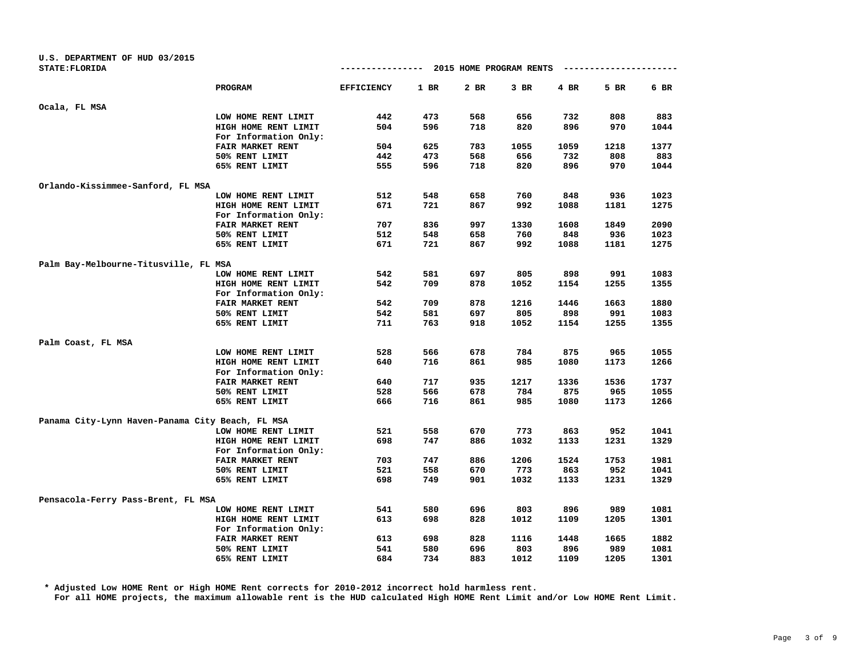| U.S. DEPARTMENT OF HUD 03/2015                   |                         |                   |        |                         |        |      |      |        |
|--------------------------------------------------|-------------------------|-------------------|--------|-------------------------|--------|------|------|--------|
| <b>STATE: FLORIDA</b>                            |                         | -------------     |        | 2015 HOME PROGRAM RENTS |        |      |      |        |
|                                                  | <b>PROGRAM</b>          | <b>EFFICIENCY</b> | $1$ BR | 2 BR                    | $3$ BR | 4 BR | 5 BR | $6$ BR |
| Ocala, FL MSA                                    |                         |                   |        |                         |        |      |      |        |
|                                                  | LOW HOME RENT LIMIT     | 442               | 473    | 568                     | 656    | 732  | 808  | 883    |
|                                                  | HIGH HOME RENT LIMIT    | 504               | 596    | 718                     | 820    | 896  | 970  | 1044   |
|                                                  | For Information Only:   |                   |        |                         |        |      |      |        |
|                                                  | FAIR MARKET RENT        | 504               | 625    | 783                     | 1055   | 1059 | 1218 | 1377   |
|                                                  | 50% RENT LIMIT          | 442               | 473    | 568                     | 656    | 732  | 808  | 883    |
|                                                  | 65% RENT LIMIT          | 555               | 596    | 718                     | 820    | 896  | 970  | 1044   |
| Orlando-Kissimmee-Sanford, FL MSA                |                         |                   |        |                         |        |      |      |        |
|                                                  | LOW HOME RENT LIMIT     | 512               | 548    | 658                     | 760    | 848  | 936  | 1023   |
|                                                  | HIGH HOME RENT LIMIT    | 671               | 721    | 867                     | 992    | 1088 | 1181 | 1275   |
|                                                  | For Information Only:   |                   |        |                         |        |      |      |        |
|                                                  | FAIR MARKET RENT        | 707               | 836    | 997                     | 1330   | 1608 | 1849 | 2090   |
|                                                  | 50% RENT LIMIT          | 512               | 548    | 658                     | 760    | 848  | 936  | 1023   |
|                                                  | 65% RENT LIMIT          | 671               | 721    | 867                     | 992    | 1088 | 1181 | 1275   |
| Palm Bay-Melbourne-Titusville, FL MSA            |                         |                   |        |                         |        |      |      |        |
|                                                  | LOW HOME RENT LIMIT     | 542               | 581    | 697                     | 805    | 898  | 991  | 1083   |
|                                                  | HIGH HOME RENT LIMIT    | 542               | 709    | 878                     | 1052   | 1154 | 1255 | 1355   |
|                                                  | For Information Only:   |                   |        |                         |        |      |      |        |
|                                                  | <b>FAIR MARKET RENT</b> | 542               | 709    | 878                     | 1216   | 1446 | 1663 | 1880   |
|                                                  | 50% RENT LIMIT          | 542               | 581    | 697                     | 805    | 898  | 991  | 1083   |
|                                                  | 65% RENT LIMIT          | 711               | 763    | 918                     | 1052   | 1154 | 1255 | 1355   |
| Palm Coast, FL MSA                               |                         |                   |        |                         |        |      |      |        |
|                                                  | LOW HOME RENT LIMIT     | 528               | 566    | 678                     | 784    | 875  | 965  | 1055   |
|                                                  | HIGH HOME RENT LIMIT    | 640               | 716    | 861                     | 985    | 1080 | 1173 | 1266   |
|                                                  | For Information Only:   |                   |        |                         |        |      |      |        |
|                                                  | <b>FAIR MARKET RENT</b> | 640               | 717    | 935                     | 1217   | 1336 | 1536 | 1737   |
|                                                  | 50% RENT LIMIT          | 528               | 566    | 678                     | 784    | 875  | 965  | 1055   |
|                                                  | 65% RENT LIMIT          | 666               | 716    | 861                     | 985    | 1080 | 1173 | 1266   |
| Panama City-Lynn Haven-Panama City Beach, FL MSA |                         |                   |        |                         |        |      |      |        |
|                                                  | LOW HOME RENT LIMIT     | 521               | 558    | 670                     | 773    | 863  | 952  | 1041   |
|                                                  | HIGH HOME RENT LIMIT    | 698               | 747    | 886                     | 1032   | 1133 | 1231 | 1329   |
|                                                  | For Information Only:   |                   |        |                         |        |      |      |        |
|                                                  | FAIR MARKET RENT        | 703               | 747    | 886                     | 1206   | 1524 | 1753 | 1981   |
|                                                  | 50% RENT LIMIT          | 521               | 558    | 670                     | 773    | 863  | 952  | 1041   |
|                                                  | 65% RENT LIMIT          | 698               | 749    | 901                     | 1032   | 1133 | 1231 | 1329   |
| Pensacola-Ferry Pass-Brent, FL MSA               |                         |                   |        |                         |        |      |      |        |
|                                                  | LOW HOME RENT LIMIT     | 541               | 580    | 696                     | 803    | 896  | 989  | 1081   |
|                                                  | HIGH HOME RENT LIMIT    | 613               | 698    | 828                     | 1012   | 1109 | 1205 | 1301   |
|                                                  | For Information Only:   |                   |        |                         |        |      |      |        |
|                                                  | FAIR MARKET RENT        | 613               | 698    | 828                     | 1116   | 1448 | 1665 | 1882   |
|                                                  | 50% RENT LIMIT          | 541               | 580    | 696                     | 803    | 896  | 989  | 1081   |
|                                                  | 65% RENT LIMIT          | 684               | 734    | 883                     | 1012   | 1109 | 1205 | 1301   |
|                                                  |                         |                   |        |                         |        |      |      |        |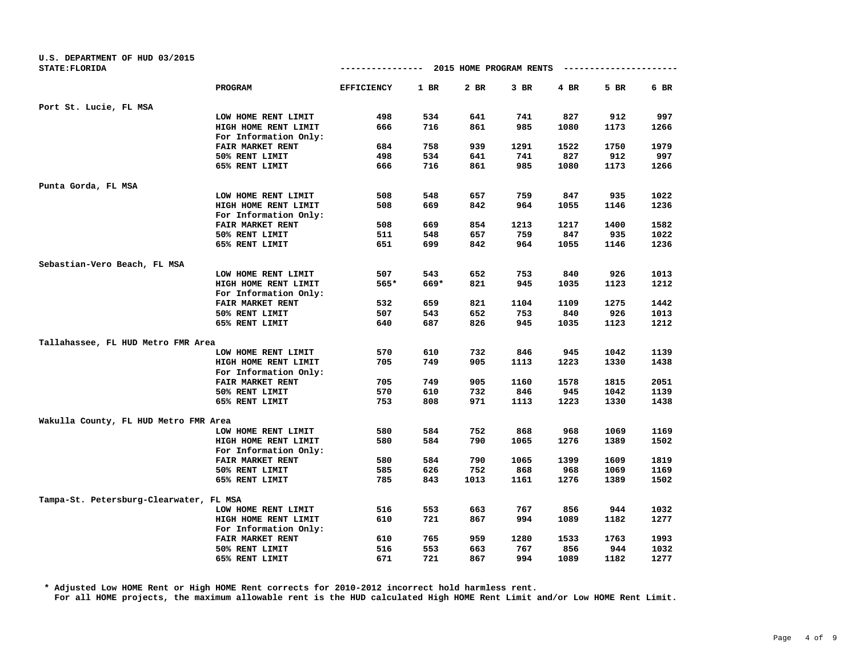| U.S. DEPARTMENT OF HUD 03/2015          |                         |                   |      |      |                                       |      |      |      |
|-----------------------------------------|-------------------------|-------------------|------|------|---------------------------------------|------|------|------|
| <b>STATE: FLORIDA</b>                   |                         |                   |      |      | ------------- 2015 HOME PROGRAM RENTS |      |      |      |
|                                         | <b>PROGRAM</b>          | <b>EFFICIENCY</b> | 1 BR | 2 BR | $3$ BR                                | 4 BR | 5 BR | 6 BR |
| Port St. Lucie, FL MSA                  |                         |                   |      |      |                                       |      |      |      |
|                                         | LOW HOME RENT LIMIT     | 498               | 534  | 641  | 741                                   | 827  | 912  | 997  |
|                                         | HIGH HOME RENT LIMIT    | 666               | 716  | 861  | 985                                   | 1080 | 1173 | 1266 |
|                                         | For Information Only:   |                   |      |      |                                       |      |      |      |
|                                         | FAIR MARKET RENT        | 684               | 758  | 939  | 1291                                  | 1522 | 1750 | 1979 |
|                                         | 50% RENT LIMIT          | 498               | 534  | 641  | 741                                   | 827  | 912  | 997  |
|                                         | 65% RENT LIMIT          | 666               | 716  | 861  | 985                                   | 1080 | 1173 | 1266 |
| Punta Gorda, FL MSA                     |                         |                   |      |      |                                       |      |      |      |
|                                         | LOW HOME RENT LIMIT     | 508               | 548  | 657  | 759                                   | 847  | 935  | 1022 |
|                                         | HIGH HOME RENT LIMIT    | 508               | 669  | 842  | 964                                   | 1055 | 1146 | 1236 |
|                                         | For Information Only:   |                   |      |      |                                       |      |      |      |
|                                         | FAIR MARKET RENT        | 508               | 669  | 854  | 1213                                  | 1217 | 1400 | 1582 |
|                                         | 50% RENT LIMIT          | 511               | 548  | 657  | 759                                   | 847  | 935  | 1022 |
|                                         | 65% RENT LIMIT          | 651               | 699  | 842  | 964                                   | 1055 | 1146 | 1236 |
|                                         |                         |                   |      |      |                                       |      |      |      |
| Sebastian-Vero Beach, FL MSA            | LOW HOME RENT LIMIT     | 507               | 543  | 652  | 753                                   | 840  | 926  | 1013 |
|                                         | HIGH HOME RENT LIMIT    | $565*$            | 669* | 821  | 945                                   | 1035 | 1123 | 1212 |
|                                         | For Information Only:   |                   |      |      |                                       |      |      |      |
|                                         | <b>FAIR MARKET RENT</b> | 532               | 659  | 821  | 1104                                  | 1109 | 1275 | 1442 |
|                                         | 50% RENT LIMIT          | 507               | 543  | 652  | 753                                   | 840  | 926  | 1013 |
|                                         | 65% RENT LIMIT          | 640               | 687  | 826  | 945                                   | 1035 | 1123 | 1212 |
| Tallahassee, FL HUD Metro FMR Area      |                         |                   |      |      |                                       |      |      |      |
|                                         | LOW HOME RENT LIMIT     | 570               | 610  | 732  | 846                                   | 945  | 1042 | 1139 |
|                                         | HIGH HOME RENT LIMIT    | 705               | 749  | 905  | 1113                                  | 1223 | 1330 | 1438 |
|                                         | For Information Only:   |                   |      |      |                                       |      |      |      |
|                                         | FAIR MARKET RENT        | 705               | 749  | 905  | 1160                                  | 1578 | 1815 | 2051 |
|                                         | 50% RENT LIMIT          | 570               | 610  | 732  | 846                                   | 945  | 1042 | 1139 |
|                                         | 65% RENT LIMIT          | 753               | 808  | 971  | 1113                                  | 1223 | 1330 | 1438 |
| Wakulla County, FL HUD Metro FMR Area   |                         |                   |      |      |                                       |      |      |      |
|                                         | LOW HOME RENT LIMIT     | 580               | 584  | 752  | 868                                   | 968  | 1069 | 1169 |
|                                         | HIGH HOME RENT LIMIT    | 580               | 584  | 790  | 1065                                  | 1276 | 1389 | 1502 |
|                                         | For Information Only:   |                   |      |      |                                       |      |      |      |
|                                         | FAIR MARKET RENT        | 580               | 584  | 790  | 1065                                  | 1399 | 1609 | 1819 |
|                                         | 50% RENT LIMIT          | 585               | 626  | 752  | 868                                   | 968  | 1069 | 1169 |
|                                         | 65% RENT LIMIT          | 785               | 843  | 1013 | 1161                                  | 1276 | 1389 | 1502 |
|                                         |                         |                   |      |      |                                       |      |      |      |
| Tampa-St. Petersburg-Clearwater, FL MSA |                         |                   |      |      |                                       |      |      |      |
|                                         | LOW HOME RENT LIMIT     | 516               | 553  | 663  | 767                                   | 856  | 944  | 1032 |
|                                         | HIGH HOME RENT LIMIT    | 610               | 721  | 867  | 994                                   | 1089 | 1182 | 1277 |
|                                         | For Information Only:   |                   |      |      |                                       |      |      |      |
|                                         | FAIR MARKET RENT        | 610               | 765  | 959  | 1280                                  | 1533 | 1763 | 1993 |
|                                         | 50% RENT LIMIT          | 516               | 553  | 663  | 767                                   | 856  | 944  | 1032 |
|                                         | 65% RENT LIMIT          | 671               | 721  | 867  | 994                                   | 1089 | 1182 | 1277 |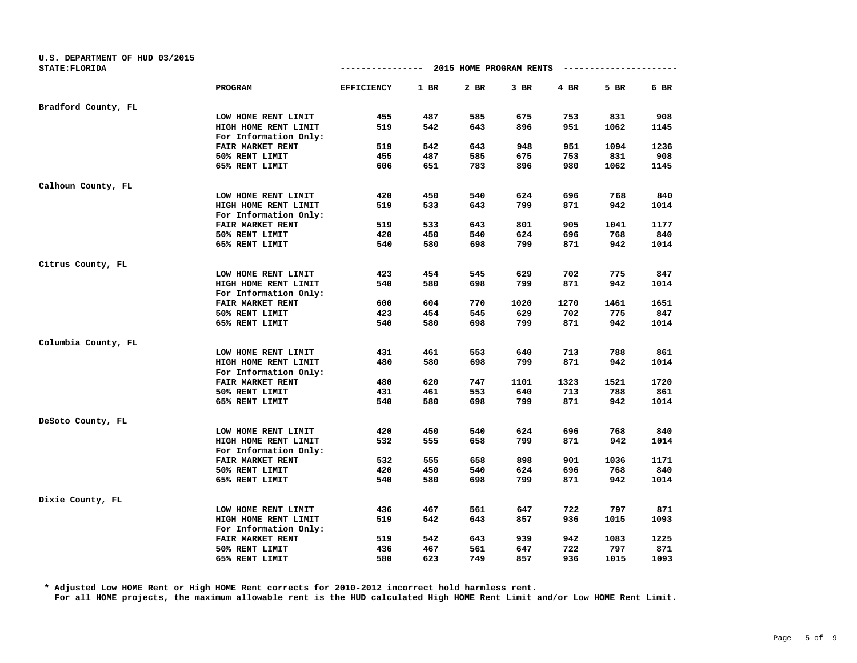| U.S. DEPARTMENT OF HUD 03/2015 |                       |                   |        |                         |      |      |      |      |
|--------------------------------|-----------------------|-------------------|--------|-------------------------|------|------|------|------|
| STATE: FLORIDA                 |                       | -------------     |        | 2015 HOME PROGRAM RENTS |      |      |      |      |
|                                | PROGRAM               | <b>EFFICIENCY</b> | $1$ BR | 2 BR                    | 3 BR | 4 BR | 5 BR | 6 BR |
| Bradford County, FL            |                       |                   |        |                         |      |      |      |      |
|                                | LOW HOME RENT LIMIT   | 455               | 487    | 585                     | 675  | 753  | 831  | 908  |
|                                | HIGH HOME RENT LIMIT  | 519               | 542    | 643                     | 896  | 951  | 1062 | 1145 |
|                                | For Information Only: |                   |        |                         |      |      |      |      |
|                                | FAIR MARKET RENT      | 519               | 542    | 643                     | 948  | 951  | 1094 | 1236 |
|                                | 50% RENT LIMIT        | 455               | 487    | 585                     | 675  | 753  | 831  | 908  |
|                                | 65% RENT LIMIT        | 606               | 651    | 783                     | 896  | 980  | 1062 | 1145 |
| Calhoun County, FL             |                       |                   |        |                         |      |      |      |      |
|                                | LOW HOME RENT LIMIT   | 420               | 450    | 540                     | 624  | 696  | 768  | 840  |
|                                | HIGH HOME RENT LIMIT  | 519               | 533    | 643                     | 799  | 871  | 942  | 1014 |
|                                | For Information Only: |                   |        |                         |      |      |      |      |
|                                | FAIR MARKET RENT      | 519               | 533    | 643                     | 801  | 905  | 1041 | 1177 |
|                                | 50% RENT LIMIT        | 420               | 450    | 540                     | 624  | 696  | 768  | 840  |
|                                | 65% RENT LIMIT        | 540               | 580    | 698                     | 799  | 871  | 942  | 1014 |
| Citrus County, FL              |                       |                   |        |                         |      |      |      |      |
|                                | LOW HOME RENT LIMIT   | 423               | 454    | 545                     | 629  | 702  | 775  | 847  |
|                                | HIGH HOME RENT LIMIT  | 540               | 580    | 698                     | 799  | 871  | 942  | 1014 |
|                                | For Information Only: |                   |        |                         |      |      |      |      |
|                                | FAIR MARKET RENT      | 600               | 604    | 770                     | 1020 | 1270 | 1461 | 1651 |
|                                | 50% RENT LIMIT        | 423               | 454    | 545                     | 629  | 702  | 775  | 847  |
|                                | 65% RENT LIMIT        | 540               | 580    | 698                     | 799  | 871  | 942  | 1014 |
| Columbia County, FL            |                       |                   |        |                         |      |      |      |      |
|                                | LOW HOME RENT LIMIT   | 431               | 461    | 553                     | 640  | 713  | 788  | 861  |
|                                | HIGH HOME RENT LIMIT  | 480               | 580    | 698                     | 799  | 871  | 942  | 1014 |
|                                | For Information Only: |                   |        |                         |      |      |      |      |
|                                | FAIR MARKET RENT      | 480               | 620    | 747                     | 1101 | 1323 | 1521 | 1720 |
|                                | 50% RENT LIMIT        | 431               | 461    | 553                     | 640  | 713  | 788  | 861  |
|                                | 65% RENT LIMIT        | 540               | 580    | 698                     | 799  | 871  | 942  | 1014 |
| DeSoto County, FL              |                       |                   |        |                         |      |      |      |      |
|                                | LOW HOME RENT LIMIT   | 420               | 450    | 540                     | 624  | 696  | 768  | 840  |
|                                | HIGH HOME RENT LIMIT  | 532               | 555    | 658                     | 799  | 871  | 942  | 1014 |
|                                | For Information Only: |                   |        |                         |      |      |      |      |
|                                | FAIR MARKET RENT      | 532               | 555    | 658                     | 898  | 901  | 1036 | 1171 |
|                                | 50% RENT LIMIT        | 420               | 450    | 540                     | 624  | 696  | 768  | 840  |
|                                | 65% RENT LIMIT        | 540               | 580    | 698                     | 799  | 871  | 942  | 1014 |
| Dixie County, FL               |                       |                   |        |                         |      |      |      |      |
|                                | LOW HOME RENT LIMIT   | 436               | 467    | 561                     | 647  | 722  | 797  | 871  |
|                                | HIGH HOME RENT LIMIT  | 519               | 542    | 643                     | 857  | 936  | 1015 | 1093 |
|                                | For Information Only: |                   |        |                         |      |      |      |      |
|                                | FAIR MARKET RENT      | 519               | 542    | 643                     | 939  | 942  | 1083 | 1225 |
|                                | 50% RENT LIMIT        | 436               | 467    | 561                     | 647  | 722  | 797  | 871  |
|                                | 65% RENT LIMIT        | 580               | 623    | 749                     | 857  | 936  | 1015 | 1093 |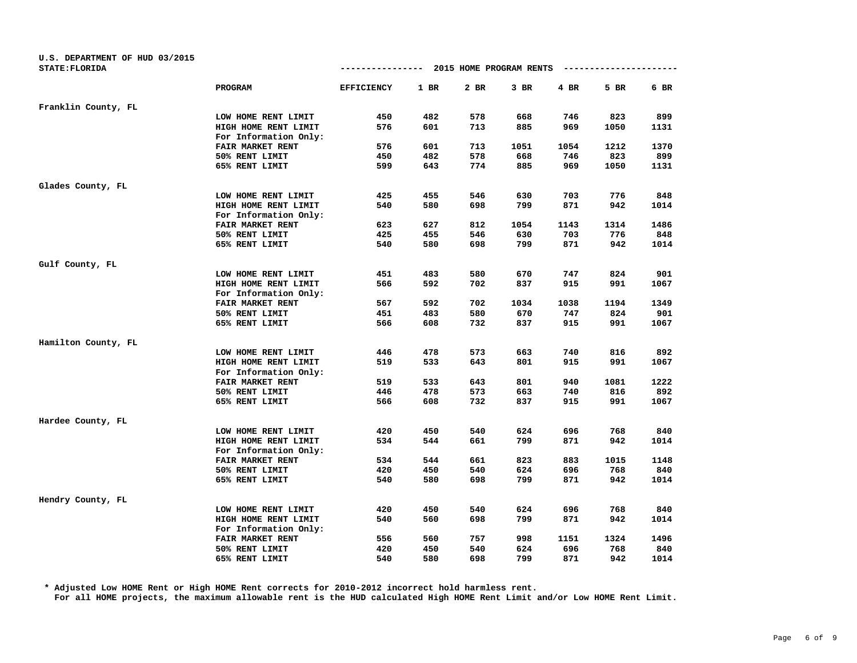| U.S. DEPARTMENT OF HUD 03/2015 |                         |                   |        |                         |        |      |      |      |
|--------------------------------|-------------------------|-------------------|--------|-------------------------|--------|------|------|------|
| STATE: FLORIDA                 |                         | -------------     |        | 2015 HOME PROGRAM RENTS |        |      |      |      |
|                                | PROGRAM                 | <b>EFFICIENCY</b> | $1$ BR | 2 BR                    | $3$ BR | 4 BR | 5 BR | 6 BR |
| Franklin County, FL            |                         |                   |        |                         |        |      |      |      |
|                                | LOW HOME RENT LIMIT     | 450               | 482    | 578                     | 668    | 746  | 823  | 899  |
|                                | HIGH HOME RENT LIMIT    | 576               | 601    | 713                     | 885    | 969  | 1050 | 1131 |
|                                | For Information Only:   |                   |        |                         |        |      |      |      |
|                                | FAIR MARKET RENT        | 576               | 601    | 713                     | 1051   | 1054 | 1212 | 1370 |
|                                | 50% RENT LIMIT          | 450               | 482    | 578                     | 668    | 746  | 823  | 899  |
|                                | 65% RENT LIMIT          | 599               | 643    | 774                     | 885    | 969  | 1050 | 1131 |
| Glades County, FL              |                         |                   |        |                         |        |      |      |      |
|                                | LOW HOME RENT LIMIT     | 425               | 455    | 546                     | 630    | 703  | 776  | 848  |
|                                | HIGH HOME RENT LIMIT    | 540               | 580    | 698                     | 799    | 871  | 942  | 1014 |
|                                | For Information Only:   |                   |        |                         |        |      |      |      |
|                                | <b>FAIR MARKET RENT</b> | 623               | 627    | 812                     | 1054   | 1143 | 1314 | 1486 |
|                                | 50% RENT LIMIT          | 425               | 455    | 546                     | 630    | 703  | 776  | 848  |
|                                | 65% RENT LIMIT          | 540               | 580    | 698                     | 799    | 871  | 942  | 1014 |
| Gulf County, FL                |                         |                   |        |                         |        |      |      |      |
|                                | LOW HOME RENT LIMIT     | 451               | 483    | 580                     | 670    | 747  | 824  | 901  |
|                                | HIGH HOME RENT LIMIT    | 566               | 592    | 702                     | 837    | 915  | 991  | 1067 |
|                                | For Information Only:   |                   |        |                         |        |      |      |      |
|                                | FAIR MARKET RENT        | 567               | 592    | 702                     | 1034   | 1038 | 1194 | 1349 |
|                                | 50% RENT LIMIT          | 451               | 483    | 580                     | 670    | 747  | 824  | 901  |
|                                | 65% RENT LIMIT          | 566               | 608    | 732                     | 837    | 915  | 991  | 1067 |
| Hamilton County, FL            |                         |                   |        |                         |        |      |      |      |
|                                | LOW HOME RENT LIMIT     | 446               | 478    | 573                     | 663    | 740  | 816  | 892  |
|                                | HIGH HOME RENT LIMIT    | 519               | 533    | 643                     | 801    | 915  | 991  | 1067 |
|                                | For Information Only:   |                   |        |                         |        |      |      |      |
|                                | FAIR MARKET RENT        | 519               | 533    | 643                     | 801    | 940  | 1081 | 1222 |
|                                | 50% RENT LIMIT          | 446               | 478    | 573                     | 663    | 740  | 816  | 892  |
|                                | 65% RENT LIMIT          | 566               | 608    | 732                     | 837    | 915  | 991  | 1067 |
| Hardee County, FL              |                         |                   |        |                         |        |      |      |      |
|                                | LOW HOME RENT LIMIT     | 420               | 450    | 540                     | 624    | 696  | 768  | 840  |
|                                | HIGH HOME RENT LIMIT    | 534               | 544    | 661                     | 799    | 871  | 942  | 1014 |
|                                | For Information Only:   |                   |        |                         |        |      |      |      |
|                                | FAIR MARKET RENT        | 534               | 544    | 661                     | 823    | 883  | 1015 | 1148 |
|                                | 50% RENT LIMIT          | 420               | 450    | 540                     | 624    | 696  | 768  | 840  |
|                                | 65% RENT LIMIT          | 540               | 580    | 698                     | 799    | 871  | 942  | 1014 |
| Hendry County, FL              |                         |                   |        |                         |        |      |      |      |
|                                | LOW HOME RENT LIMIT     | 420               | 450    | 540                     | 624    | 696  | 768  | 840  |
|                                | HIGH HOME RENT LIMIT    | 540               | 560    | 698                     | 799    | 871  | 942  | 1014 |
|                                | For Information Only:   |                   |        |                         |        |      |      |      |
|                                | FAIR MARKET RENT        | 556               | 560    | 757                     | 998    | 1151 | 1324 | 1496 |
|                                | 50% RENT LIMIT          | 420               | 450    | 540                     | 624    | 696  | 768  | 840  |
|                                | 65% RENT LIMIT          | 540               | 580    | 698                     | 799    | 871  | 942  | 1014 |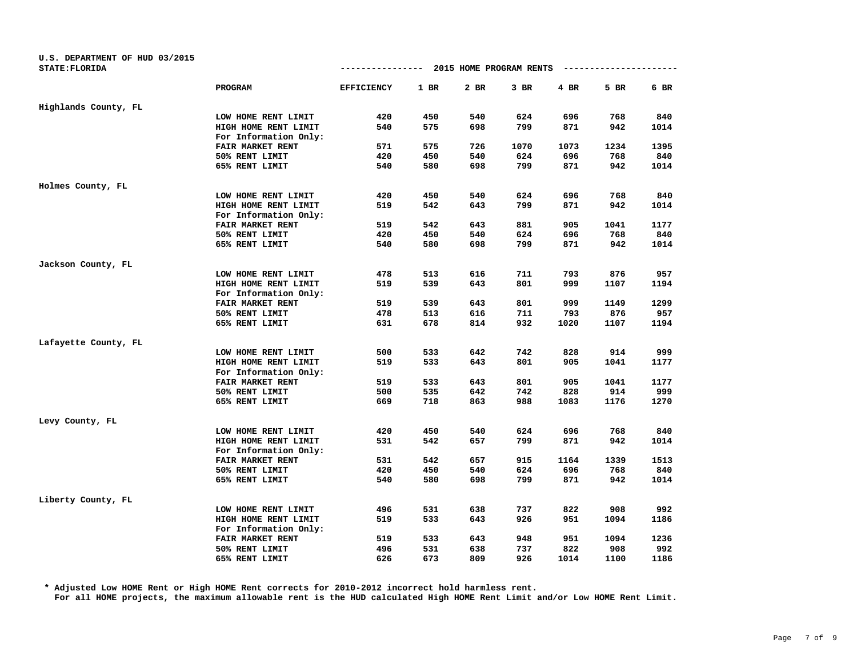| U.S. DEPARTMENT OF HUD 03/2015 |                       |                   |      |                         |        |      |      |      |
|--------------------------------|-----------------------|-------------------|------|-------------------------|--------|------|------|------|
| STATE: FLORIDA                 |                       | -------------     |      | 2015 HOME PROGRAM RENTS |        |      |      |      |
|                                | PROGRAM               | <b>EFFICIENCY</b> | 1 BR | 2 BR                    | $3$ BR | 4 BR | 5 BR | 6 BR |
| Highlands County, FL           |                       |                   |      |                         |        |      |      |      |
|                                | LOW HOME RENT LIMIT   | 420               | 450  | 540                     | 624    | 696  | 768  | 840  |
|                                | HIGH HOME RENT LIMIT  | 540               | 575  | 698                     | 799    | 871  | 942  | 1014 |
|                                | For Information Only: |                   |      |                         |        |      |      |      |
|                                | FAIR MARKET RENT      | 571               | 575  | 726                     | 1070   | 1073 | 1234 | 1395 |
|                                | 50% RENT LIMIT        | 420               | 450  | 540                     | 624    | 696  | 768  | 840  |
|                                | 65% RENT LIMIT        | 540               | 580  | 698                     | 799    | 871  | 942  | 1014 |
| Holmes County, FL              |                       |                   |      |                         |        |      |      |      |
|                                | LOW HOME RENT LIMIT   | 420               | 450  | 540                     | 624    | 696  | 768  | 840  |
|                                | HIGH HOME RENT LIMIT  | 519               | 542  | 643                     | 799    | 871  | 942  | 1014 |
|                                | For Information Only: |                   |      |                         |        |      |      |      |
|                                | FAIR MARKET RENT      | 519               | 542  | 643                     | 881    | 905  | 1041 | 1177 |
|                                | 50% RENT LIMIT        | 420               | 450  | 540                     | 624    | 696  | 768  | 840  |
|                                | 65% RENT LIMIT        | 540               | 580  | 698                     | 799    | 871  | 942  | 1014 |
| Jackson County, FL             |                       |                   |      |                         |        |      |      |      |
|                                | LOW HOME RENT LIMIT   | 478               | 513  | 616                     | 711    | 793  | 876  | 957  |
|                                | HIGH HOME RENT LIMIT  | 519               | 539  | 643                     | 801    | 999  | 1107 | 1194 |
|                                | For Information Only: |                   |      |                         |        |      |      |      |
|                                | FAIR MARKET RENT      | 519               | 539  | 643                     | 801    | 999  | 1149 | 1299 |
|                                | 50% RENT LIMIT        | 478               | 513  | 616                     | 711    | 793  | 876  | 957  |
|                                | 65% RENT LIMIT        | 631               | 678  | 814                     | 932    | 1020 | 1107 | 1194 |
| Lafayette County, FL           |                       |                   |      |                         |        |      |      |      |
|                                | LOW HOME RENT LIMIT   | 500               | 533  | 642                     | 742    | 828  | 914  | 999  |
|                                | HIGH HOME RENT LIMIT  | 519               | 533  | 643                     | 801    | 905  | 1041 | 1177 |
|                                | For Information Only: |                   |      |                         |        |      |      |      |
|                                | FAIR MARKET RENT      | 519               | 533  | 643                     | 801    | 905  | 1041 | 1177 |
|                                | 50% RENT LIMIT        | 500               | 535  | 642                     | 742    | 828  | 914  | 999  |
|                                | 65% RENT LIMIT        | 669               | 718  | 863                     | 988    | 1083 | 1176 | 1270 |
| Levy County, FL                |                       |                   |      |                         |        |      |      |      |
|                                | LOW HOME RENT LIMIT   | 420               | 450  | 540                     | 624    | 696  | 768  | 840  |
|                                | HIGH HOME RENT LIMIT  | 531               | 542  | 657                     | 799    | 871  | 942  | 1014 |
|                                | For Information Only: |                   |      |                         |        |      |      |      |
|                                | FAIR MARKET RENT      | 531               | 542  | 657                     | 915    | 1164 | 1339 | 1513 |
|                                | 50% RENT LIMIT        | 420               | 450  | 540                     | 624    | 696  | 768  | 840  |
|                                | 65% RENT LIMIT        | 540               | 580  | 698                     | 799    | 871  | 942  | 1014 |
| Liberty County, FL             |                       |                   |      |                         |        |      |      |      |
|                                | LOW HOME RENT LIMIT   | 496               | 531  | 638                     | 737    | 822  | 908  | 992  |
|                                | HIGH HOME RENT LIMIT  | 519               | 533  | 643                     | 926    | 951  | 1094 | 1186 |
|                                | For Information Only: |                   |      |                         |        |      |      |      |
|                                | FAIR MARKET RENT      | 519               | 533  | 643                     | 948    | 951  | 1094 | 1236 |
|                                | 50% RENT LIMIT        | 496               | 531  | 638                     | 737    | 822  | 908  | 992  |
|                                | 65% RENT LIMIT        | 626               | 673  | 809                     | 926    | 1014 | 1100 | 1186 |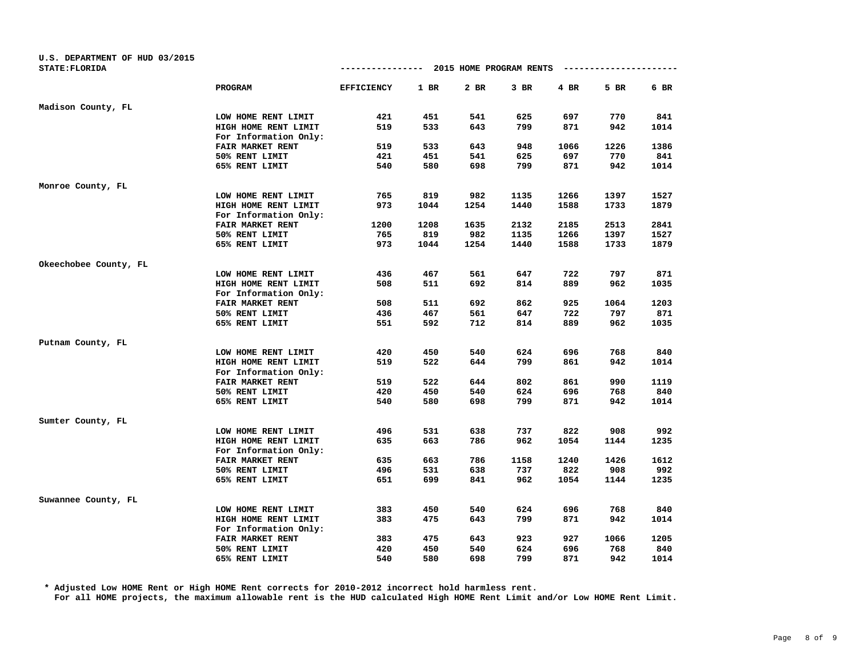| U.S. DEPARTMENT OF HUD 03/2015<br><b>STATE: FLORIDA</b> |                         | --------------- 2015 HOME PROGRAM RENTS |      |      |        |        | ---------------------- |      |
|---------------------------------------------------------|-------------------------|-----------------------------------------|------|------|--------|--------|------------------------|------|
|                                                         |                         |                                         |      |      |        |        |                        |      |
|                                                         | PROGRAM                 | <b>EFFICIENCY</b>                       | 1 BR | 2 BR | $3$ BR | $4$ BR | 5 BR                   | 6 BR |
| Madison County, FL                                      |                         |                                         |      |      |        |        |                        |      |
|                                                         | LOW HOME RENT LIMIT     | 421                                     | 451  | 541  | 625    | 697    | 770                    | 841  |
|                                                         | HIGH HOME RENT LIMIT    | 519                                     | 533  | 643  | 799    | 871    | 942                    | 1014 |
|                                                         | For Information Only:   |                                         |      |      |        |        |                        |      |
|                                                         | FAIR MARKET RENT        | 519                                     | 533  | 643  | 948    | 1066   | 1226                   | 1386 |
|                                                         | 50% RENT LIMIT          | 421                                     | 451  | 541  | 625    | 697    | 770                    | 841  |
|                                                         | 65% RENT LIMIT          | 540                                     | 580  | 698  | 799    | 871    | 942                    | 1014 |
| Monroe County, FL                                       |                         |                                         |      |      |        |        |                        |      |
|                                                         | LOW HOME RENT LIMIT     | 765                                     | 819  | 982  | 1135   | 1266   | 1397                   | 1527 |
|                                                         | HIGH HOME RENT LIMIT    | 973                                     | 1044 | 1254 | 1440   | 1588   | 1733                   | 1879 |
|                                                         | For Information Only:   |                                         |      |      |        |        |                        |      |
|                                                         | FAIR MARKET RENT        | 1200                                    | 1208 | 1635 | 2132   | 2185   | 2513                   | 2841 |
|                                                         | 50% RENT LIMIT          | 765                                     | 819  | 982  | 1135   | 1266   | 1397                   | 1527 |
|                                                         | 65% RENT LIMIT          | 973                                     | 1044 | 1254 | 1440   | 1588   | 1733                   | 1879 |
| Okeechobee County, FL                                   |                         |                                         |      |      |        |        |                        |      |
|                                                         | LOW HOME RENT LIMIT     | 436                                     | 467  | 561  | 647    | 722    | 797                    | 871  |
|                                                         | HIGH HOME RENT LIMIT    | 508                                     | 511  | 692  | 814    | 889    | 962                    | 1035 |
|                                                         | For Information Only:   |                                         |      |      |        |        |                        |      |
|                                                         | FAIR MARKET RENT        | 508                                     | 511  | 692  | 862    | 925    | 1064                   | 1203 |
|                                                         | 50% RENT LIMIT          | 436                                     | 467  | 561  | 647    | 722    | 797                    | 871  |
|                                                         | 65% RENT LIMIT          | 551                                     | 592  | 712  | 814    | 889    | 962                    | 1035 |
| Putnam County, FL                                       |                         |                                         |      |      |        |        |                        |      |
|                                                         | LOW HOME RENT LIMIT     | 420                                     | 450  | 540  | 624    | 696    | 768                    | 840  |
|                                                         | HIGH HOME RENT LIMIT    | 519                                     | 522  | 644  | 799    | 861    | 942                    | 1014 |
|                                                         | For Information Only:   |                                         |      |      |        |        |                        |      |
|                                                         | FAIR MARKET RENT        | 519                                     | 522  | 644  | 802    | 861    | 990                    | 1119 |
|                                                         | 50% RENT LIMIT          | 420                                     | 450  | 540  | 624    | 696    | 768                    | 840  |
|                                                         | 65% RENT LIMIT          | 540                                     | 580  | 698  | 799    | 871    | 942                    | 1014 |
| Sumter County, FL                                       |                         |                                         |      |      |        |        |                        |      |
|                                                         | LOW HOME RENT LIMIT     | 496                                     | 531  | 638  | 737    | 822    | 908                    | 992  |
|                                                         | HIGH HOME RENT LIMIT    | 635                                     | 663  | 786  | 962    | 1054   | 1144                   | 1235 |
|                                                         | For Information Only:   |                                         |      |      |        |        |                        |      |
|                                                         | <b>FAIR MARKET RENT</b> | 635                                     | 663  | 786  | 1158   | 1240   | 1426                   | 1612 |
|                                                         | 50% RENT LIMIT          | 496                                     | 531  | 638  | 737    | 822    | 908                    | 992  |
|                                                         | 65% RENT LIMIT          | 651                                     | 699  | 841  | 962    | 1054   | 1144                   | 1235 |
| Suwannee County, FL                                     |                         |                                         |      |      |        |        |                        |      |
|                                                         | LOW HOME RENT LIMIT     | 383                                     | 450  | 540  | 624    | 696    | 768                    | 840  |
|                                                         | HIGH HOME RENT LIMIT    | 383                                     | 475  | 643  | 799    | 871    | 942                    | 1014 |
|                                                         | For Information Only:   |                                         |      |      |        |        |                        |      |
|                                                         | FAIR MARKET RENT        | 383                                     | 475  | 643  | 923    | 927    | 1066                   | 1205 |
|                                                         | 50% RENT LIMIT          | 420                                     | 450  | 540  | 624    | 696    | 768                    | 840  |
|                                                         | 65% RENT LIMIT          | 540                                     | 580  | 698  | 799    | 871    | 942                    | 1014 |